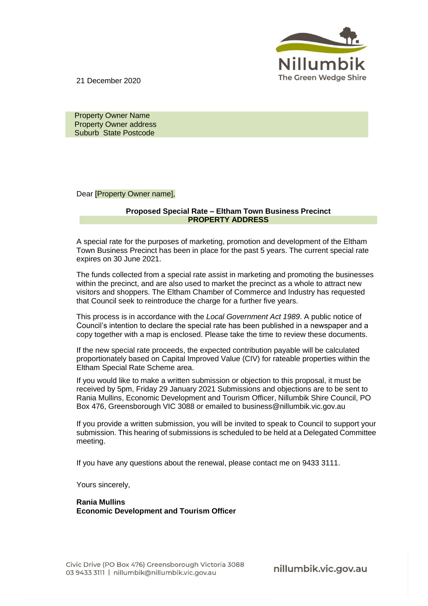

21 December 2020

 Property Owner Name Property Owner address Suburb State Postcode

Dear [Property Owner name],

## **Proposed Special Rate – Eltham Town Business Precinct PROPERTY ADDRESS**

A special rate for the purposes of marketing, promotion and development of the Eltham Town Business Precinct has been in place for the past 5 years. The current special rate expires on 30 June 2021.

The funds collected from a special rate assist in marketing and promoting the businesses within the precinct, and are also used to market the precinct as a whole to attract new visitors and shoppers. The Eltham Chamber of Commerce and Industry has requested that Council seek to reintroduce the charge for a further five years.

This process is in accordance with the *Local Government Act 1989*. A public notice of Council's intention to declare the special rate has been published in a newspaper and a copy together with a map is enclosed. Please take the time to review these documents.

If the new special rate proceeds, the expected contribution payable will be calculated proportionately based on Capital Improved Value (CIV) for rateable properties within the Eltham Special Rate Scheme area.

If you would like to make a written submission or objection to this proposal, it must be received by 5pm, Friday 29 January 2021 Submissions and objections are to be sent to Rania Mullins, Economic Development and Tourism Officer, Nillumbik Shire Council, PO Box 476, Greensborough VIC 3088 or emailed to business@nillumbik.vic.gov.au

If you provide a written submission, you will be invited to speak to Council to support your submission. This hearing of submissions is scheduled to be held at a Delegated Committee meeting.

If you have any questions about the renewal, please contact me on 9433 3111.

Yours sincerely,

**Rania Mullins Economic Development and Tourism Officer**

nillumbik.vic.gov.au